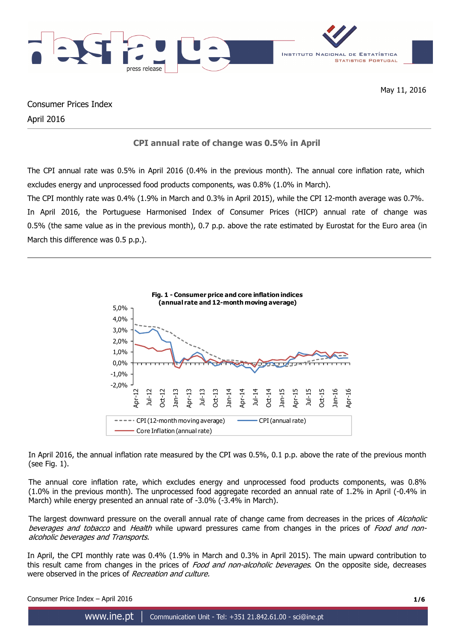

Consumer Prices Index April 2016

# **CPI annual rate of change was 0.5% in April**

The CPI annual rate was 0.5% in April 2016 (0.4% in the previous month). The annual core inflation rate, which excludes energy and unprocessed food products components, was 0.8% (1.0% in March).

The CPI monthly rate was 0.4% (1.9% in March and 0.3% in April 2015), while the CPI 12-month average was 0.7%. In April 2016, the Portuguese Harmonised Index of Consumer Prices (HICP) annual rate of change was 0.5% (the same value as in the previous month), 0.7 p.p. above the rate estimated by Eurostat for the Euro area (in March this difference was 0.5 p.p.).



In April 2016, the annual inflation rate measured by the CPI was 0.5%, 0.1 p.p. above the rate of the previous month (see Fig. 1).

The annual core inflation rate, which excludes energy and unprocessed food products components, was 0.8% (1.0% in the previous month). The unprocessed food aggregate recorded an annual rate of 1.2% in April (-0.4% in March) while energy presented an annual rate of -3.0% (-3.4% in March).

The largest downward pressure on the overall annual rate of change came from decreases in the prices of Alcoholic beverages and tobacco and Health while upward pressures came from changes in the prices of Food and nonalcoholic beverages and Transports.

In April, the CPI monthly rate was 0.4% (1.9% in March and 0.3% in April 2015). The main upward contribution to this result came from changes in the prices of *Food and non-alcoholic beverages*. On the opposite side, decreases were observed in the prices of Recreation and culture.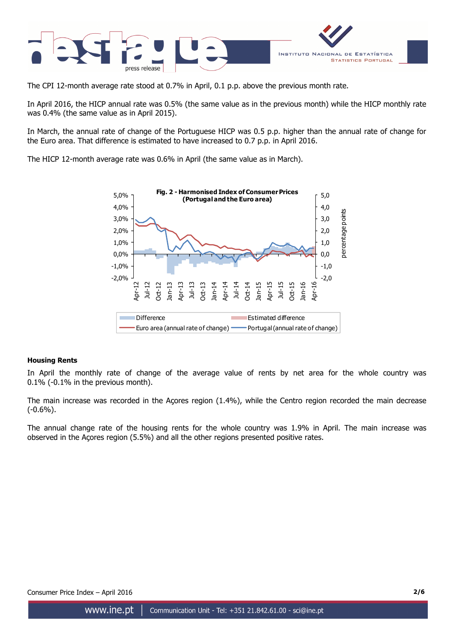

The CPI 12-month average rate stood at 0.7% in April, 0.1 p.p. above the previous month rate.

In April 2016, the HICP annual rate was 0.5% (the same value as in the previous month) while the HICP monthly rate was 0.4% (the same value as in April 2015).

In March, the annual rate of change of the Portuguese HICP was 0.5 p.p. higher than the annual rate of change for the Euro area. That difference is estimated to have increased to 0.7 p.p. in April 2016.

The HICP 12-month average rate was 0.6% in April (the same value as in March).



### **Housing Rents**

In April the monthly rate of change of the average value of rents by net area for the whole country was 0.1% (-0.1% in the previous month).

The main increase was recorded in the Açores region (1.4%), while the Centro region recorded the main decrease  $(-0.6\%)$ .

The annual change rate of the housing rents for the whole country was 1.9% in April. The main increase was observed in the Açores region (5.5%) and all the other regions presented positive rates.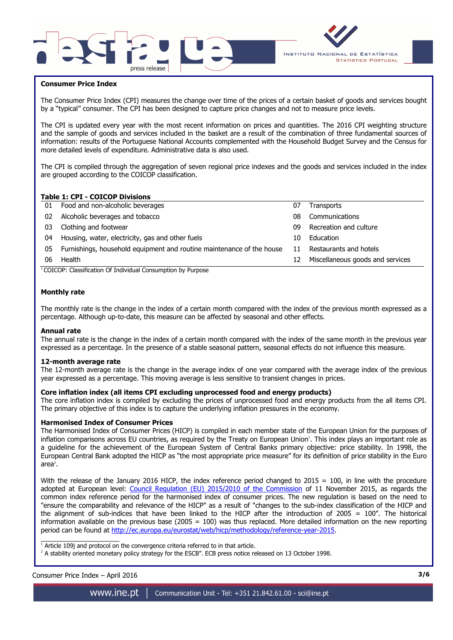



### **Consumer Price Index**

I

The Consumer Price Index (CPI) measures the change over time of the prices of a certain basket of goods and services bought by a "typical" consumer. The CPI has been designed to capture price changes and not to measure price levels.

The CPI is updated every year with the most recent information on prices and quantities. The 2016 CPI weighting structure and the sample of goods and services included in the basket are a result of the combination of three fundamental sources of information: results of the Portuguese National Accounts complemented with the Household Budget Survey and the Census for more detailed levels of expenditure. Administrative data is also used.

The CPI is compiled through the aggregation of seven regional price indexes and the goods and services included in the index are grouped according to the COICOP classification.

### **Table 1: CPI - COICOP Divisions**

|    | TUDIC 11 CI 1 COICOL DIVISIONS                                        |    |                                  |
|----|-----------------------------------------------------------------------|----|----------------------------------|
|    | 01 Food and non-alcoholic beverages                                   | 07 | <b>Transports</b>                |
| 02 | Alcoholic beverages and tobacco                                       | 08 | Communications                   |
| 03 | Clothing and footwear                                                 | n9 | Recreation and culture           |
| 04 | Housing, water, electricity, gas and other fuels                      | 10 | Education                        |
| 05 | Furnishings, household equipment and routine maintenance of the house | 11 | Restaurants and hotels           |
| 06 | Health                                                                | 12 | Miscellaneous goods and services |
|    |                                                                       |    |                                  |

<sup>1</sup>COICOP: Classification Of Individual Consumption by Purpose

#### **Monthly rate**

The monthly rate is the change in the index of a certain month compared with the index of the previous month expressed as a percentage. Although up-to-date, this measure can be affected by seasonal and other effects.

#### **Annual rate**

The annual rate is the change in the index of a certain month compared with the index of the same month in the previous year expressed as a percentage. In the presence of a stable seasonal pattern, seasonal effects do not influence this measure.

#### **12-month average rate**

The 12-month average rate is the change in the average index of one year compared with the average index of the previous year expressed as a percentage. This moving average is less sensitive to transient changes in prices.

#### **Core inflation index (all items CPI excluding unprocessed food and energy products)**

The core inflation index is compiled by excluding the prices of unprocessed food and energy products from the all items CPI. The primary objective of this index is to capture the underlying inflation pressures in the economy.

#### **Harmonised Index of Consumer Prices**

The Harmonised Index of Consumer Prices (HICP) is compiled in each member state of the European Union for the purposes of inflation comparisons across EU countries, as required by the Treaty on European Union<sup>1</sup>. This index plays an important role as a guideline for the achievement of the European System of Central Banks primary objective: price stability. In 1998, the European Central Bank adopted the HICP as "the most appropriate price measure" for its definition of price stability in the Euro area $^2$ .

With the release of the January 2016 HICP, the index reference period changed to  $2015 = 100$ , in line with the procedure adopted at European level: Council Regulation (EU) 2015/2010 of the Commission of 11 November 2015, as regards the common index reference period for the harmonised index of consumer prices. The new regulation is based on the need to "ensure the comparability and relevance of the HICP" as a result of "changes to the sub-index classification of the HICP and the alignment of sub-indices that have been linked to the HICP after the introduction of 2005 = 100". The historical information available on the previous base (2005 =  $100$ ) was thus replaced. More detailed information on the new reporting period can be found at http://ec.europa.eu/eurostat/web/hicp/methodology/reference-year-2015.

1<br>Article 109j and protocol on the convergence criteria referred to in that article.

<sup>2</sup> A stability oriented monetary policy strategy for the ESCB". ECB press notice released on 13 October 1998.

## Consumer Price Index – April 2016 **3/6**

www.ine.pt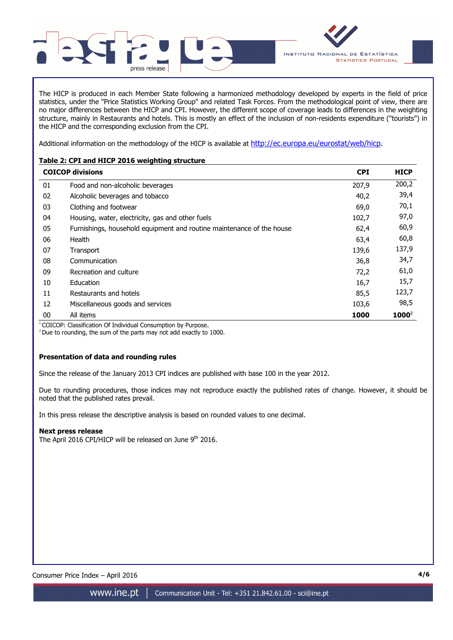

The HICP is produced in each Member State following a harmonized methodology developed by experts in the field of price statistics, under the "Price Statistics Working Group" and related Task Forces. From the methodological point of view, there are no major differences between the HICP and CPI. However, the different scope of coverage leads to differences in the weighting structure, mainly in Restaurants and hotels. This is mostly an effect of the inclusion of non-residents expenditure ("tourists") in the HICP and the corresponding exclusion from the CPI.

Additional information on the methodology of the HICP is available at http://ec.europa.eu/eurostat/web/hicp.

## **Table 2: CPI and HICP 2016 weighting structure**

|    | <b>COICOP divisions</b>                                               | <b>CPI</b> | <b>HICP</b> |  |  |
|----|-----------------------------------------------------------------------|------------|-------------|--|--|
| 01 | Food and non-alcoholic beverages                                      | 207,9      | 200,2       |  |  |
| 02 | Alcoholic beverages and tobacco                                       | 40,2       | 39,4        |  |  |
| 03 | Clothing and footwear                                                 | 69,0       | 70,1        |  |  |
| 04 | Housing, water, electricity, gas and other fuels                      | 102,7      | 97,0        |  |  |
| 05 | Furnishings, household equipment and routine maintenance of the house | 62,4       | 60,9        |  |  |
| 06 | Health                                                                | 63,4       | 60,8        |  |  |
| 07 | Transport                                                             | 139,6      | 137,9       |  |  |
| 08 | Communication                                                         | 36,8       | 34,7        |  |  |
| 09 | Recreation and culture                                                | 72,2       | 61,0        |  |  |
| 10 | Education                                                             | 16,7       | 15,7        |  |  |
| 11 | Restaurants and hotels                                                | 85,5       | 123,7       |  |  |
| 12 | Miscellaneous goods and services                                      | 103,6      | 98,5        |  |  |
| 00 | All items                                                             | 1000       | $1000^2$    |  |  |

<sup>1</sup> COICOP: Classification Of Individual Consumption by Purpose.

 $2$  Due to rounding, the sum of the parts may not add exactly to 1000.

## **Presentation of data and rounding rules**

Since the release of the January 2013 CPI indices are published with base 100 in the year 2012.

Due to rounding procedures, those indices may not reproduce exactly the published rates of change. However, it should be noted that the published rates prevail.

In this press release the descriptive analysis is based on rounded values to one decimal.

### **Next press release**

The April 2016 CPI/HICP will be released on June 9<sup>th</sup> 2016.

Consumer Price Index – April 2016 **4/6**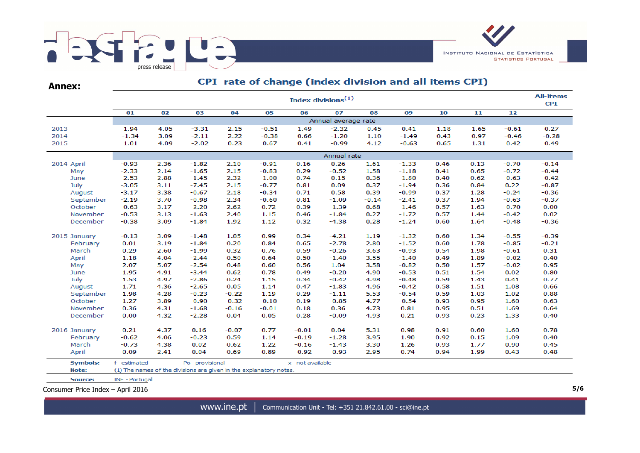

**Annex:**

# CPI rate of change (index division and all items CPI)

|                 | <b>All-items</b><br>Index divisions <sup>(1)</sup> |      |                                                                    |         |         |                 |                     |         |                    |      |      |         |         |  |  |
|-----------------|----------------------------------------------------|------|--------------------------------------------------------------------|---------|---------|-----------------|---------------------|---------|--------------------|------|------|---------|---------|--|--|
|                 | 01                                                 | 02   | 03                                                                 | 04      | 05      | 06              | 07                  | 08      | 09                 | 10   | 11   | 12      |         |  |  |
|                 |                                                    |      |                                                                    |         |         |                 | Annual average rate |         |                    |      |      |         |         |  |  |
| 2013            | 1.94                                               | 4.05 | $-3.31$                                                            | 2.15    | $-0.51$ | 1.49            | $-2.32$             | 0.45    | 0.41               | 1.18 | 1.65 | $-0.61$ | 0.27    |  |  |
| 2014            | $-1.34$                                            | 3.09 | $-2.11$                                                            | 2.22    | $-0.38$ | 0.66            | $-1.20$             | 1.10    | $-1.49$            | 0.43 | 0.97 | $-0.46$ | $-0.28$ |  |  |
| 2015            | 1.01                                               | 4.09 | $-2.02$                                                            | 0.23    | 0.67    | 0.41            | $-0.99$             | 4.12    | $-0.63$            | 0.65 | 1.31 | 0.42    | 0.49    |  |  |
|                 | Annual rate                                        |      |                                                                    |         |         |                 |                     |         |                    |      |      |         |         |  |  |
| 2014 April      | $-0.93$                                            | 2.36 | $-1.82$                                                            | 2.10    | $-0.91$ | 0.16            | 0.26                | 1.61    | $-1.33$            | 0.46 | 0.13 | $-0.70$ | $-0.14$ |  |  |
| May             | $-2.33$                                            | 2.14 | $-1.65$                                                            | 2.15    | $-0.83$ | 0.29            | $-0.52$             | 1.58    | $-1.18$            | 0.41 | 0.65 | $-0.72$ | $-0.44$ |  |  |
| June            | $-2.53$                                            | 2.88 | $-1.45$                                                            | 2.32    | $-1.00$ | 0.74            | 0.15                | 0.36    | $-1.80$            | 0.40 | 0.62 | $-0.63$ | $-0.42$ |  |  |
| July            | $-3.05$                                            | 3.11 | $-7.45$                                                            | 2.15    | $-0.77$ | 0.81            | 0.09                | 0.37    | $-1.94$            | 0.36 | 0.84 | 0.22    | $-0.87$ |  |  |
| August          | $-3.17$                                            | 3.38 | $-0.67$                                                            | 2.18    | $-0.34$ | 0.71            | 0.58                | 0.39    | $-0.99$            | 0.37 | 1.28 | $-0.24$ | $-0.36$ |  |  |
| September       | $-2.19$                                            | 3.70 | $-0.98$                                                            | 2.34    | $-0.60$ | 0.81            | $-1.09$             | $-0.14$ | $-2.41$            | 0.37 | 1.94 | $-0.63$ | $-0.37$ |  |  |
| October         | $-0.63$                                            | 3.17 | $-2.20$                                                            | 2.62    | 0.72    | 0.39            | $-1.39$             | 0.68    | $-1.46$            | 0.57 | 1.63 | $-0.70$ | 0.00    |  |  |
| November        | $-0.53$                                            | 3.13 | $-1.63$                                                            | 2.40    | 1.15    | 0.46            | $-1.84$             | 0.27    | $-1.72$            | 0.57 | 1.44 | $-0.42$ | 0.02    |  |  |
| December        | $-0.38$                                            | 3.09 | $-1.84$                                                            | 1.92    | 1.12    | 0.32            | $-4.38$             | 0.28    | $-1.24$            | 0.60 | 1.64 | $-0.48$ | $-0.36$ |  |  |
| 2015 January    | $-0.13$                                            | 3.09 | $-1.48$                                                            | 1.05    | 0.99    | 0.34            | $-4.21$             | 1.19    | $-1.32$            | 0.60 | 1.34 | $-0.55$ | $-0.39$ |  |  |
| February        | 0.01                                               | 3.19 | $-1.84$                                                            | 0.20    | 0.84    | 0.65            | $-2.78$             | 2.80    | $-1.52$            | 0.60 | 1.78 | $-0.85$ | $-0.21$ |  |  |
| March           | 0.29                                               | 2.60 | $-1.99$                                                            | 0.32    | 0.76    | 0.59            | $-0.26$             | 3.63    | $-0.93$            | 0.54 | 1.98 | $-0.61$ | 0.31    |  |  |
| April           | 1.18                                               | 4.04 | $-2.44$                                                            | 0.50    | 0.64    | 0.50            | $-1.40$             | 3.55    | $-1.40$            | 0.49 | 1.89 | $-0.02$ | 0.40    |  |  |
| May             | 2.07                                               | 5.07 | $-2.54$                                                            | 0.48    | 0.60    | 0.56            | 1.04                | 3.58    | $-0.82$            | 0.50 | 1.57 | $-0.02$ | 0.95    |  |  |
| June            | 1.95                                               | 4.91 | $-3.44$                                                            | 0.62    | 0.78    | 0.49            | $-0.20$             | 4.90    | $-0.53$            | 0.51 | 1.54 | 0.02    | 0.80    |  |  |
| July            | 1.53                                               | 4.97 | $-2.86$                                                            | 0.24    | 1.15    | 0.34            | $-0.42$             | 4.98    | $-0.48$            | 0.59 | 1.43 | 0.41    | 0.77    |  |  |
| August          | 1.71                                               | 4.36 | $-2.65$                                                            | 0.05    | 1.14    | 0.47            | $-1.83$             | 4.96    | $-0.42$<br>$-0.54$ | 0.58 | 1.51 | 1.08    | 0.66    |  |  |
| September       | 1.98                                               | 4.28 | $-0.23$                                                            | $-0.22$ | 1.19    | 0.29            | $-1.11$             | 5.53    |                    | 0.59 | 1.03 | 1.02    | 0.88    |  |  |
| October         | 1.27                                               | 3.89 | $-0.90$                                                            | $-0.32$ | $-0.10$ | 0.19            | $-0.85$             | 4.77    | $-0.54$            | 0.93 | 0.95 | 1.60    | 0.63    |  |  |
| November        | 0.36                                               | 4.31 | $-1.68$                                                            | $-0.16$ | $-0.01$ | 0.18            | 0.36                | 4.73    | 0.81               | 0.95 | 0.51 | 1.69    | 0.64    |  |  |
| December        | 0.00                                               | 4.32 | $-2.28$                                                            | 0.04    | 0.05    | 0.28            | $-0.09$             | 4.93    | 0.21               | 0.93 | 0.23 | 1.33    | 0.40    |  |  |
| 2016 January    | 0.21                                               | 4.37 | 0.16                                                               | $-0.07$ | 0.77    | $-0.01$         | 0.04                | 5.31    | 0.98               | 0.91 | 0.60 | 1.60    | 0.78    |  |  |
| February        | $-0.62$                                            | 4.06 | $-0.23$                                                            | 0.59    | 1.14    | $-0.19$         | $-1.28$             | 3.95    | 1.90               | 0.92 | 0.15 | 1.09    | 0.40    |  |  |
| March           | $-0.73$                                            | 4.38 | 0.02                                                               | 0.62    | 1.22    | $-0.16$         | $-1.43$             | 3.30    | 1.26               | 0.93 | 1.77 | 0.90    | 0.45    |  |  |
| April           | 0.09                                               | 2.41 | 0.04                                                               | 0.69    | 0.89    | $-0.92$         | $-0.93$             | 2.95    | 0.74               | 0.94 | 1.99 | 0.43    | 0.48    |  |  |
| <b>Symbols:</b> | f estimated                                        |      | Po provisional                                                     |         |         | x not available |                     |         |                    |      |      |         |         |  |  |
| Note:           |                                                    |      | (1) The names of the divisions are given in the explanatory notes. |         |         |                 |                     |         |                    |      |      |         |         |  |  |
| Source:         | <b>INE - Portugal</b>                              |      |                                                                    |         |         |                 |                     |         |                    |      |      |         |         |  |  |

Consumer Price Index – April 2016 **5/6**

www.ine.pt | Communication Unit - Tel: +351 21.842.61.00 - sci@ine.pt